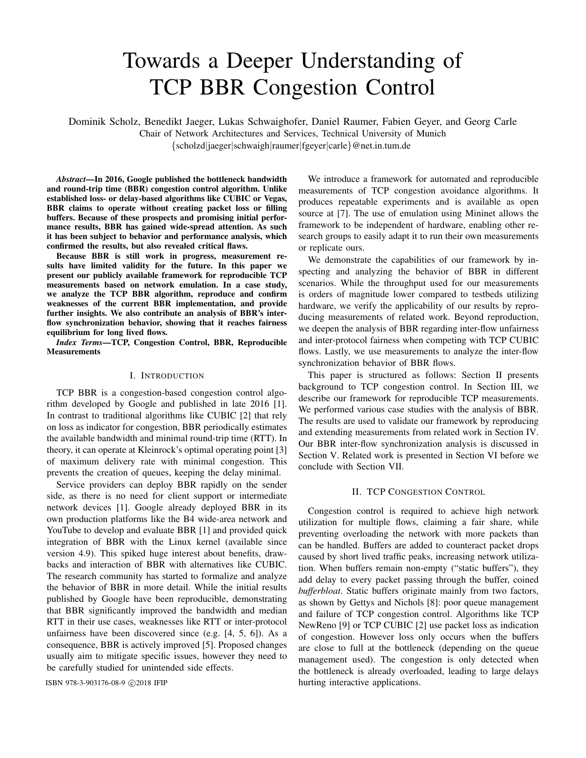# Towards a Deeper Understanding of TCP BBR Congestion Control

Dominik Scholz, Benedikt Jaeger, Lukas Schwaighofer, Daniel Raumer, Fabien Geyer, and Georg Carle Chair of Network Architectures and Services, Technical University of Munich {scholzd|jaeger|schwaigh|raumer|fgeyer|carle}@net.in.tum.de

*Abstract*—In 2016, Google published the bottleneck bandwidth and round-trip time (BBR) congestion control algorithm. Unlike established loss- or delay-based algorithms like CUBIC or Vegas, BBR claims to operate without creating packet loss or filling buffers. Because of these prospects and promising initial performance results, BBR has gained wide-spread attention. As such it has been subject to behavior and performance analysis, which confirmed the results, but also revealed critical flaws.

Because BBR is still work in progress, measurement results have limited validity for the future. In this paper we present our publicly available framework for reproducible TCP measurements based on network emulation. In a case study, we analyze the TCP BBR algorithm, reproduce and confirm weaknesses of the current BBR implementation, and provide further insights. We also contribute an analysis of BBR's interflow synchronization behavior, showing that it reaches fairness equilibrium for long lived flows.

*Index Terms*—TCP, Congestion Control, BBR, Reproducible **Measurements** 

#### I. INTRODUCTION

TCP BBR is a congestion-based congestion control algorithm developed by Google and published in late 2016 [1]. In contrast to traditional algorithms like CUBIC [2] that rely on loss as indicator for congestion, BBR periodically estimates the available bandwidth and minimal round-trip time (RTT). In theory, it can operate at Kleinrock's optimal operating point [3] of maximum delivery rate with minimal congestion. This prevents the creation of queues, keeping the delay minimal.

Service providers can deploy BBR rapidly on the sender side, as there is no need for client support or intermediate network devices [1]. Google already deployed BBR in its own production platforms like the B4 wide-area network and YouTube to develop and evaluate BBR [1] and provided quick integration of BBR with the Linux kernel (available since version 4.9). This spiked huge interest about benefits, drawbacks and interaction of BBR with alternatives like CUBIC. The research community has started to formalize and analyze the behavior of BBR in more detail. While the initial results published by Google have been reproducible, demonstrating that BBR significantly improved the bandwidth and median RTT in their use cases, weaknesses like RTT or inter-protocol unfairness have been discovered since (e.g. [4, 5, 6]). As a consequence, BBR is actively improved [5]. Proposed changes usually aim to mitigate specific issues, however they need to be carefully studied for unintended side effects.

We introduce a framework for automated and reproducible measurements of TCP congestion avoidance algorithms. It produces repeatable experiments and is available as open source at [7]. The use of emulation using Mininet allows the framework to be independent of hardware, enabling other research groups to easily adapt it to run their own measurements or replicate ours.

We demonstrate the capabilities of our framework by inspecting and analyzing the behavior of BBR in different scenarios. While the throughput used for our measurements is orders of magnitude lower compared to testbeds utilizing hardware, we verify the applicability of our results by reproducing measurements of related work. Beyond reproduction, we deepen the analysis of BBR regarding inter-flow unfairness and inter-protocol fairness when competing with TCP CUBIC flows. Lastly, we use measurements to analyze the inter-flow synchronization behavior of BBR flows.

This paper is structured as follows: Section II presents background to TCP congestion control. In Section III, we describe our framework for reproducible TCP measurements. We performed various case studies with the analysis of BBR. The results are used to validate our framework by reproducing and extending measurements from related work in Section IV. Our BBR inter-flow synchronization analysis is discussed in Section V. Related work is presented in Section VI before we conclude with Section VII.

# II. TCP CONGESTION CONTROL

Congestion control is required to achieve high network utilization for multiple flows, claiming a fair share, while preventing overloading the network with more packets than can be handled. Buffers are added to counteract packet drops caused by short lived traffic peaks, increasing network utilization. When buffers remain non-empty ("static buffers"), they add delay to every packet passing through the buffer, coined *bufferbloat*. Static buffers originate mainly from two factors, as shown by Gettys and Nichols [8]: poor queue management and failure of TCP congestion control. Algorithms like TCP NewReno [9] or TCP CUBIC [2] use packet loss as indication of congestion. However loss only occurs when the buffers are close to full at the bottleneck (depending on the queue management used). The congestion is only detected when the bottleneck is already overloaded, leading to large delays ISBN 978-3-903176-08-9 © 2018 IFIP hurting interactive applications.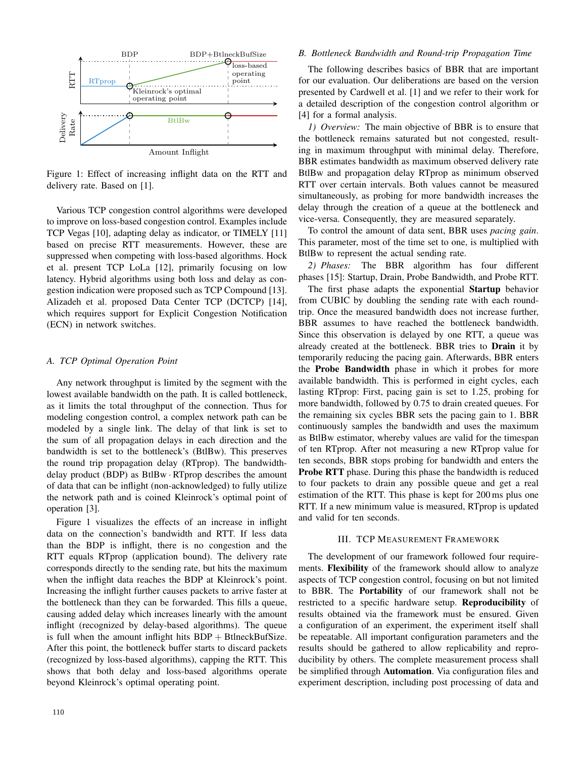

Figure 1: Effect of increasing inflight data on the RTT and delivery rate. Based on [1].

Various TCP congestion control algorithms were developed to improve on loss-based congestion control. Examples include TCP Vegas [10], adapting delay as indicator, or TIMELY [11] based on precise RTT measurements. However, these are suppressed when competing with loss-based algorithms. Hock et al. present TCP LoLa [12], primarily focusing on low latency. Hybrid algorithms using both loss and delay as congestion indication were proposed such as TCP Compound [13]. Alizadeh et al. proposed Data Center TCP (DCTCP) [14], which requires support for Explicit Congestion Notification (ECN) in network switches.

# *A. TCP Optimal Operation Point*

Any network throughput is limited by the segment with the lowest available bandwidth on the path. It is called bottleneck, as it limits the total throughput of the connection. Thus for modeling congestion control, a complex network path can be modeled by a single link. The delay of that link is set to the sum of all propagation delays in each direction and the bandwidth is set to the bottleneck's (BtlBw). This preserves the round trip propagation delay (RTprop). The bandwidthdelay product (BDP) as BtlBw · RTprop describes the amount of data that can be inflight (non-acknowledged) to fully utilize the network path and is coined Kleinrock's optimal point of operation [3].

Figure 1 visualizes the effects of an increase in inflight data on the connection's bandwidth and RTT. If less data than the BDP is inflight, there is no congestion and the RTT equals RTprop (application bound). The delivery rate corresponds directly to the sending rate, but hits the maximum when the inflight data reaches the BDP at Kleinrock's point. Increasing the inflight further causes packets to arrive faster at the bottleneck than they can be forwarded. This fills a queue, causing added delay which increases linearly with the amount inflight (recognized by delay-based algorithms). The queue is full when the amount inflight hits  $BDP + B$ tlneckBufSize. After this point, the bottleneck buffer starts to discard packets (recognized by loss-based algorithms), capping the RTT. This shows that both delay and loss-based algorithms operate beyond Kleinrock's optimal operating point.

# *B. Bottleneck Bandwidth and Round-trip Propagation Time*

The following describes basics of BBR that are important for our evaluation. Our deliberations are based on the version presented by Cardwell et al. [1] and we refer to their work for a detailed description of the congestion control algorithm or [4] for a formal analysis.

*1) Overview:* The main objective of BBR is to ensure that the bottleneck remains saturated but not congested, resulting in maximum throughput with minimal delay. Therefore, BBR estimates bandwidth as maximum observed delivery rate BtlBw and propagation delay RTprop as minimum observed RTT over certain intervals. Both values cannot be measured simultaneously, as probing for more bandwidth increases the delay through the creation of a queue at the bottleneck and vice-versa. Consequently, they are measured separately.

To control the amount of data sent, BBR uses *pacing gain*. This parameter, most of the time set to one, is multiplied with BtlBw to represent the actual sending rate.

*2) Phases:* The BBR algorithm has four different phases [15]: Startup, Drain, Probe Bandwidth, and Probe RTT.

The first phase adapts the exponential Startup behavior from CUBIC by doubling the sending rate with each roundtrip. Once the measured bandwidth does not increase further, BBR assumes to have reached the bottleneck bandwidth. Since this observation is delayed by one RTT, a queue was already created at the bottleneck. BBR tries to Drain it by temporarily reducing the pacing gain. Afterwards, BBR enters the Probe Bandwidth phase in which it probes for more available bandwidth. This is performed in eight cycles, each lasting RTprop: First, pacing gain is set to 1.25, probing for more bandwidth, followed by 0.75 to drain created queues. For the remaining six cycles BBR sets the pacing gain to 1. BBR continuously samples the bandwidth and uses the maximum as BtlBw estimator, whereby values are valid for the timespan of ten RTprop. After not measuring a new RTprop value for ten seconds, BBR stops probing for bandwidth and enters the Probe RTT phase. During this phase the bandwidth is reduced to four packets to drain any possible queue and get a real estimation of the RTT. This phase is kept for 200 ms plus one RTT. If a new minimum value is measured, RTprop is updated and valid for ten seconds.

# III. TCP MEASUREMENT FRAMEWORK

The development of our framework followed four requirements. Flexibility of the framework should allow to analyze aspects of TCP congestion control, focusing on but not limited to BBR. The Portability of our framework shall not be restricted to a specific hardware setup. Reproducibility of results obtained via the framework must be ensured. Given a configuration of an experiment, the experiment itself shall be repeatable. All important configuration parameters and the results should be gathered to allow replicability and reproducibility by others. The complete measurement process shall be simplified through **Automation**. Via configuration files and experiment description, including post processing of data and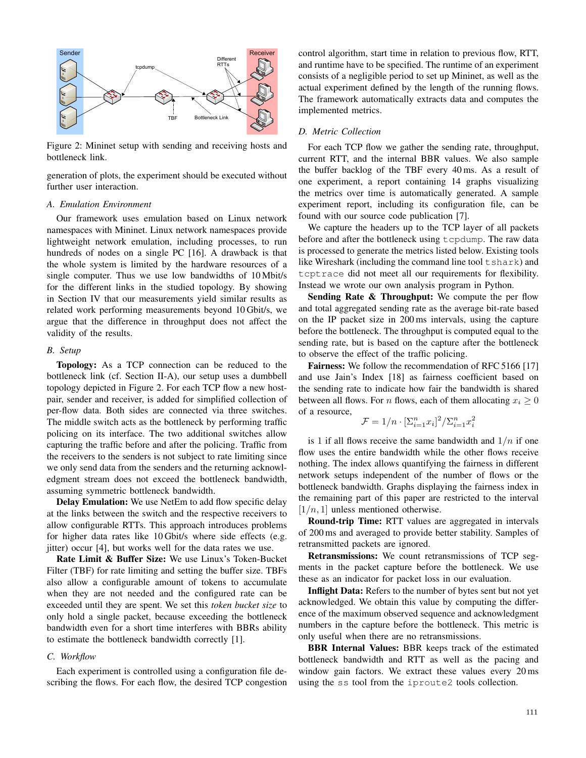

Figure 2: Mininet setup with sending and receiving hosts and bottleneck link.

generation of plots, the experiment should be executed without further user interaction.

# *A. Emulation Environment*

Our framework uses emulation based on Linux network namespaces with Mininet. Linux network namespaces provide lightweight network emulation, including processes, to run hundreds of nodes on a single PC [16]. A drawback is that the whole system is limited by the hardware resources of a single computer. Thus we use low bandwidths of 10 Mbit/s for the different links in the studied topology. By showing in Section IV that our measurements yield similar results as related work performing measurements beyond 10 Gbit/s, we argue that the difference in throughput does not affect the validity of the results.

#### *B. Setup*

Topology: As a TCP connection can be reduced to the bottleneck link (cf. Section II-A), our setup uses a dumbbell topology depicted in Figure 2. For each TCP flow a new hostpair, sender and receiver, is added for simplified collection of per-flow data. Both sides are connected via three switches. The middle switch acts as the bottleneck by performing traffic policing on its interface. The two additional switches allow capturing the traffic before and after the policing. Traffic from the receivers to the senders is not subject to rate limiting since we only send data from the senders and the returning acknowledgment stream does not exceed the bottleneck bandwidth, assuming symmetric bottleneck bandwidth.

Delay Emulation: We use NetEm to add flow specific delay at the links between the switch and the respective receivers to allow configurable RTTs. This approach introduces problems for higher data rates like 10 Gbit/s where side effects (e.g. jitter) occur [4], but works well for the data rates we use.

Rate Limit & Buffer Size: We use Linux's Token-Bucket Filter (TBF) for rate limiting and setting the buffer size. TBFs also allow a configurable amount of tokens to accumulate when they are not needed and the configured rate can be exceeded until they are spent. We set this *token bucket size* to only hold a single packet, because exceeding the bottleneck bandwidth even for a short time interferes with BBRs ability to estimate the bottleneck bandwidth correctly [1].

# *C. Workflow*

Each experiment is controlled using a configuration file describing the flows. For each flow, the desired TCP congestion control algorithm, start time in relation to previous flow, RTT, and runtime have to be specified. The runtime of an experiment consists of a negligible period to set up Mininet, as well as the actual experiment defined by the length of the running flows. The framework automatically extracts data and computes the implemented metrics.

# *D. Metric Collection*

For each TCP flow we gather the sending rate, throughput, current RTT, and the internal BBR values. We also sample the buffer backlog of the TBF every 40 ms. As a result of one experiment, a report containing 14 graphs visualizing the metrics over time is automatically generated. A sample experiment report, including its configuration file, can be found with our source code publication [7].

We capture the headers up to the TCP layer of all packets before and after the bottleneck using tcpdump. The raw data is processed to generate the metrics listed below. Existing tools like Wireshark (including the command line tool  $t$ shark) and tcptrace did not meet all our requirements for flexibility. Instead we wrote our own analysis program in Python.

Sending Rate & Throughput: We compute the per flow and total aggregated sending rate as the average bit-rate based on the IP packet size in 200 ms intervals, using the capture before the bottleneck. The throughput is computed equal to the sending rate, but is based on the capture after the bottleneck to observe the effect of the traffic policing.

Fairness: We follow the recommendation of RFC 5166 [17] and use Jain's Index [18] as fairness coefficient based on the sending rate to indicate how fair the bandwidth is shared between all flows. For *n* flows, each of them allocating  $x_i \geq 0$ of a resource,

$$
\mathcal{F} = 1/n \cdot \left[\sum_{i=1}^n x_i\right]^2 / \sum_{i=1}^n x_i^2
$$

is 1 if all flows receive the same bandwidth and  $1/n$  if one flow uses the entire bandwidth while the other flows receive nothing. The index allows quantifying the fairness in different network setups independent of the number of flows or the bottleneck bandwidth. Graphs displaying the fairness index in the remaining part of this paper are restricted to the interval  $[1/n, 1]$  unless mentioned otherwise.

Round-trip Time: RTT values are aggregated in intervals of 200 ms and averaged to provide better stability. Samples of retransmitted packets are ignored.

Retransmissions: We count retransmissions of TCP segments in the packet capture before the bottleneck. We use these as an indicator for packet loss in our evaluation.

Inflight Data: Refers to the number of bytes sent but not yet acknowledged. We obtain this value by computing the difference of the maximum observed sequence and acknowledgment numbers in the capture before the bottleneck. This metric is only useful when there are no retransmissions.

BBR Internal Values: BBR keeps track of the estimated bottleneck bandwidth and RTT as well as the pacing and window gain factors. We extract these values every 20 ms using the ss tool from the iproute2 tools collection.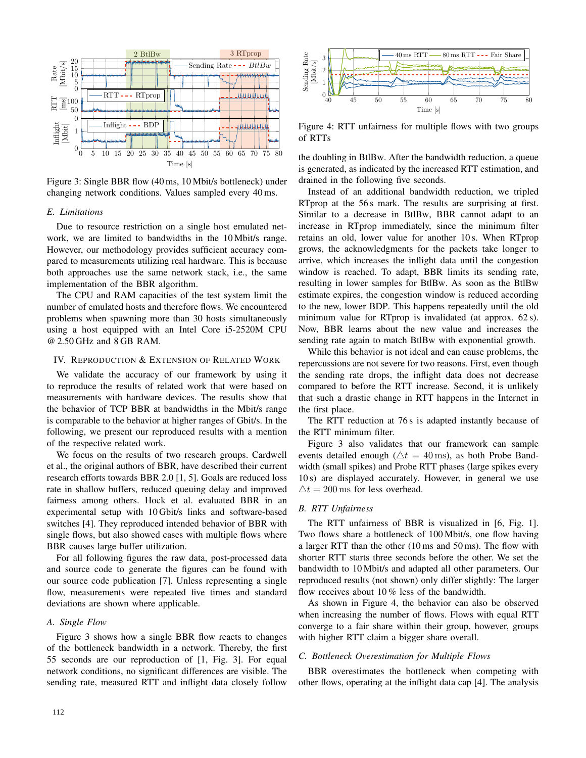

Figure 3: Single BBR flow (40 ms, 10 Mbit/s bottleneck) under changing network conditions. Values sampled every 40 ms.

# *E. Limitations*

Due to resource restriction on a single host emulated network, we are limited to bandwidths in the 10 Mbit/s range. However, our methodology provides sufficient accuracy compared to measurements utilizing real hardware. This is because both approaches use the same network stack, i.e., the same implementation of the BBR algorithm.

The CPU and RAM capacities of the test system limit the number of emulated hosts and therefore flows. We encountered problems when spawning more than 30 hosts simultaneously using a host equipped with an Intel Core i5-2520M CPU @ 2.50 GHz and 8 GB RAM.

# IV. REPRODUCTION & EXTENSION OF RELATED WORK

We validate the accuracy of our framework by using it to reproduce the results of related work that were based on measurements with hardware devices. The results show that the behavior of TCP BBR at bandwidths in the Mbit/s range is comparable to the behavior at higher ranges of Gbit/s. In the following, we present our reproduced results with a mention of the respective related work.

We focus on the results of two research groups. Cardwell et al., the original authors of BBR, have described their current research efforts towards BBR 2.0 [1, 5]. Goals are reduced loss rate in shallow buffers, reduced queuing delay and improved fairness among others. Hock et al. evaluated BBR in an experimental setup with 10 Gbit/s links and software-based switches [4]. They reproduced intended behavior of BBR with single flows, but also showed cases with multiple flows where BBR causes large buffer utilization.

For all following figures the raw data, post-processed data and source code to generate the figures can be found with our source code publication [7]. Unless representing a single flow, measurements were repeated five times and standard deviations are shown where applicable.

# *A. Single Flow*

Figure 3 shows how a single BBR flow reacts to changes of the bottleneck bandwidth in a network. Thereby, the first 55 seconds are our reproduction of [1, Fig. 3]. For equal network conditions, no significant differences are visible. The sending rate, measured RTT and inflight data closely follow



Figure 4: RTT unfairness for multiple flows with two groups of RTTs

the doubling in BtlBw. After the bandwidth reduction, a queue is generated, as indicated by the increased RTT estimation, and drained in the following five seconds.

Instead of an additional bandwidth reduction, we tripled RTprop at the 56 s mark. The results are surprising at first. Similar to a decrease in BtlBw, BBR cannot adapt to an increase in RTprop immediately, since the minimum filter retains an old, lower value for another 10 s. When RTprop grows, the acknowledgments for the packets take longer to arrive, which increases the inflight data until the congestion window is reached. To adapt, BBR limits its sending rate, resulting in lower samples for BtlBw. As soon as the BtlBw estimate expires, the congestion window is reduced according to the new, lower BDP. This happens repeatedly until the old minimum value for RTprop is invalidated (at approx. 62 s). Now, BBR learns about the new value and increases the sending rate again to match BtlBw with exponential growth.

While this behavior is not ideal and can cause problems, the repercussions are not severe for two reasons. First, even though the sending rate drops, the inflight data does not decrease compared to before the RTT increase. Second, it is unlikely that such a drastic change in RTT happens in the Internet in the first place.

The RTT reduction at 76 s is adapted instantly because of the RTT minimum filter.

Figure 3 also validates that our framework can sample events detailed enough ( $\Delta t = 40$  ms), as both Probe Bandwidth (small spikes) and Probe RTT phases (large spikes every 10 s) are displayed accurately. However, in general we use  $\Delta t = 200$  ms for less overhead.

#### *B. RTT Unfairness*

The RTT unfairness of BBR is visualized in [6, Fig. 1]. Two flows share a bottleneck of 100 Mbit/s, one flow having a larger RTT than the other (10 ms and 50 ms). The flow with shorter RTT starts three seconds before the other. We set the bandwidth to 10 Mbit/s and adapted all other parameters. Our reproduced results (not shown) only differ slightly: The larger flow receives about 10 % less of the bandwidth.

As shown in Figure 4, the behavior can also be observed when increasing the number of flows. Flows with equal RTT converge to a fair share within their group, however, groups with higher RTT claim a bigger share overall.

# *C. Bottleneck Overestimation for Multiple Flows*

BBR overestimates the bottleneck when competing with other flows, operating at the inflight data cap [4]. The analysis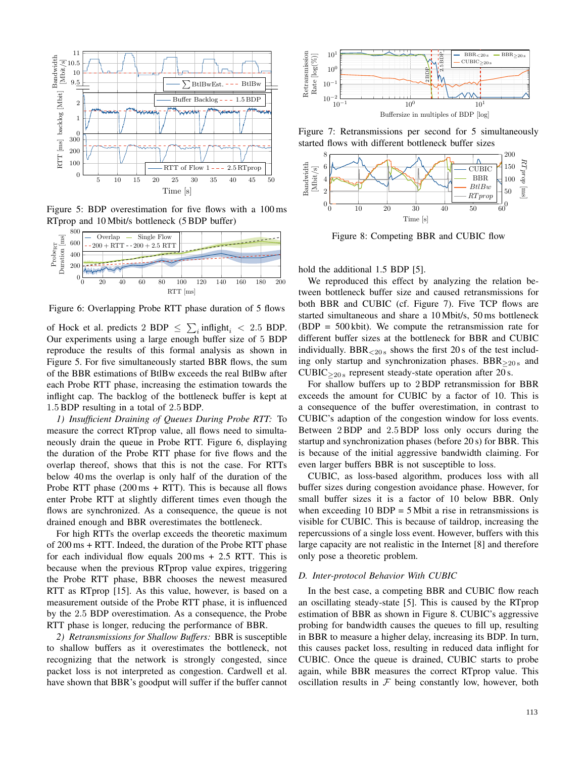

Figure 5: BDP overestimation for five flows with a 100 ms RTprop and 10 Mbit/s bottleneck (5 BDP buffer)



Figure 6: Overlapping Probe RTT phase duration of 5 flows

of Hock et al. predicts 2 BDP  $\leq \sum_i$  inflight<sub>i</sub> < 2.5 BDP. Our experiments using a large enough buffer size of 5 BDP reproduce the results of this formal analysis as shown in Figure 5. For five simultaneously started BBR flows, the sum of the BBR estimations of BtlBw exceeds the real BtlBw after each Probe RTT phase, increasing the estimation towards the inflight cap. The backlog of the bottleneck buffer is kept at 1.5BDP resulting in a total of 2.5BDP.

*1) Insufficient Draining of Queues During Probe RTT:* To measure the correct RTprop value, all flows need to simultaneously drain the queue in Probe RTT. Figure 6, displaying the duration of the Probe RTT phase for five flows and the overlap thereof, shows that this is not the case. For RTTs below 40 ms the overlap is only half of the duration of the Probe RTT phase  $(200 \text{ ms} + RTT)$ . This is because all flows enter Probe RTT at slightly different times even though the flows are synchronized. As a consequence, the queue is not drained enough and BBR overestimates the bottleneck.

For high RTTs the overlap exceeds the theoretic maximum of 200 ms + RTT. Indeed, the duration of the Probe RTT phase for each individual flow equals  $200 \text{ ms} + 2.5 \text{ RTT}$ . This is because when the previous RTprop value expires, triggering the Probe RTT phase, BBR chooses the newest measured RTT as RTprop [15]. As this value, however, is based on a measurement outside of the Probe RTT phase, it is influenced by the 2.5 BDP overestimation. As a consequence, the Probe RTT phase is longer, reducing the performance of BBR.

*2) Retransmissions for Shallow Buffers:* BBR is susceptible to shallow buffers as it overestimates the bottleneck, not recognizing that the network is strongly congested, since packet loss is not interpreted as congestion. Cardwell et al. have shown that BBR's goodput will suffer if the buffer cannot



Figure 7: Retransmissions per second for 5 simultaneously started flows with different bottleneck buffer sizes



Figure 8: Competing BBR and CUBIC flow

hold the additional 1.5 BDP [5].

We reproduced this effect by analyzing the relation between bottleneck buffer size and caused retransmissions for both BBR and CUBIC (cf. Figure 7). Five TCP flows are started simultaneous and share a 10 Mbit/s, 50 ms bottleneck (BDP = 500 kbit). We compute the retransmission rate for different buffer sizes at the bottleneck for BBR and CUBIC individually. BBR $_{\leq 20 \text{ s}}$  shows the first 20 s of the test including only startup and synchronization phases.  $BBR_{>20 s}$  and  $CUBIC_{\geq 20 \text{ s}}$  represent steady-state operation after 20 s.

For shallow buffers up to 2BDP retransmission for BBR exceeds the amount for CUBIC by a factor of 10. This is a consequence of the buffer overestimation, in contrast to CUBIC's adaption of the congestion window for loss events. Between 2BDP and 2.5BDP loss only occurs during the startup and synchronization phases (before 20 s) for BBR. This is because of the initial aggressive bandwidth claiming. For even larger buffers BBR is not susceptible to loss.

CUBIC, as loss-based algorithm, produces loss with all buffer sizes during congestion avoidance phase. However, for small buffer sizes it is a factor of 10 below BBR. Only when exceeding  $10$  BDP = 5 Mbit a rise in retransmissions is visible for CUBIC. This is because of taildrop, increasing the repercussions of a single loss event. However, buffers with this large capacity are not realistic in the Internet [8] and therefore only pose a theoretic problem.

# *D. Inter-protocol Behavior With CUBIC*

In the best case, a competing BBR and CUBIC flow reach an oscillating steady-state [5]. This is caused by the RTprop estimation of BBR as shown in Figure 8. CUBIC's aggressive probing for bandwidth causes the queues to fill up, resulting in BBR to measure a higher delay, increasing its BDP. In turn, this causes packet loss, resulting in reduced data inflight for CUBIC. Once the queue is drained, CUBIC starts to probe again, while BBR measures the correct RTprop value. This oscillation results in  $F$  being constantly low, however, both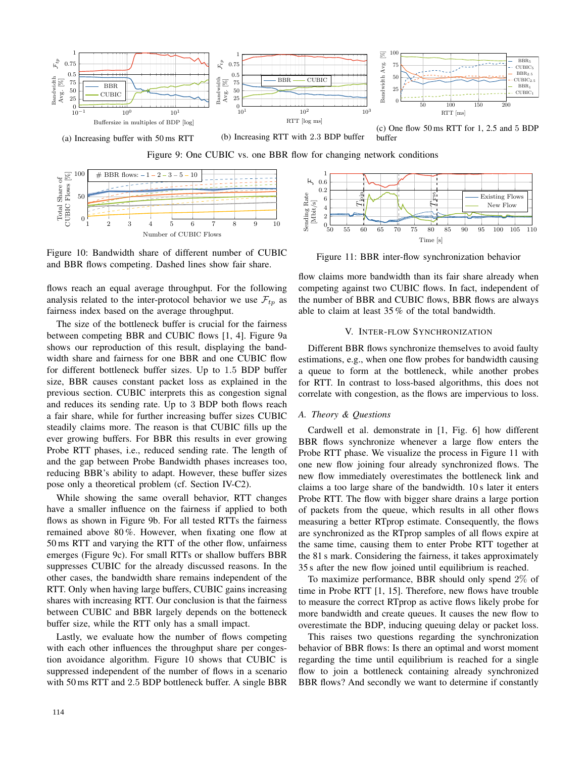





Figure 10: Bandwidth share of different number of CUBIC and BBR flows competing. Dashed lines show fair share.

flows reach an equal average throughput. For the following analysis related to the inter-protocol behavior we use  $\mathcal{F}_{tp}$  as fairness index based on the average throughput.

The size of the bottleneck buffer is crucial for the fairness between competing BBR and CUBIC flows [1, 4]. Figure 9a shows our reproduction of this result, displaying the bandwidth share and fairness for one BBR and one CUBIC flow for different bottleneck buffer sizes. Up to 1.5 BDP buffer size, BBR causes constant packet loss as explained in the previous section. CUBIC interprets this as congestion signal and reduces its sending rate. Up to 3 BDP both flows reach a fair share, while for further increasing buffer sizes CUBIC steadily claims more. The reason is that CUBIC fills up the ever growing buffers. For BBR this results in ever growing Probe RTT phases, i.e., reduced sending rate. The length of and the gap between Probe Bandwidth phases increases too, reducing BBR's ability to adapt. However, these buffer sizes pose only a theoretical problem (cf. Section IV-C2).

While showing the same overall behavior, RTT changes have a smaller influence on the fairness if applied to both flows as shown in Figure 9b. For all tested RTTs the fairness remained above 80 %. However, when fixating one flow at 50 ms RTT and varying the RTT of the other flow, unfairness emerges (Figure 9c). For small RTTs or shallow buffers BBR suppresses CUBIC for the already discussed reasons. In the other cases, the bandwidth share remains independent of the RTT. Only when having large buffers, CUBIC gains increasing shares with increasing RTT. Our conclusion is that the fairness between CUBIC and BBR largely depends on the botteneck buffer size, while the RTT only has a small impact.

Lastly, we evaluate how the number of flows competing with each other influences the throughput share per congestion avoidance algorithm. Figure 10 shows that CUBIC is suppressed independent of the number of flows in a scenario with 50 ms RTT and 2.5 BDP bottleneck buffer. A single BBR



Figure 11: BBR inter-flow synchronization behavior

flow claims more bandwidth than its fair share already when competing against two CUBIC flows. In fact, independent of the number of BBR and CUBIC flows, BBR flows are always able to claim at least 35 % of the total bandwidth.

# V. INTER-FLOW SYNCHRONIZATION

Different BBR flows synchronize themselves to avoid faulty estimations, e.g., when one flow probes for bandwidth causing a queue to form at the bottleneck, while another probes for RTT. In contrast to loss-based algorithms, this does not correlate with congestion, as the flows are impervious to loss.

### *A. Theory & Questions*

Cardwell et al. demonstrate in [1, Fig. 6] how different BBR flows synchronize whenever a large flow enters the Probe RTT phase. We visualize the process in Figure 11 with one new flow joining four already synchronized flows. The new flow immediately overestimates the bottleneck link and claims a too large share of the bandwidth. 10 s later it enters Probe RTT. The flow with bigger share drains a large portion of packets from the queue, which results in all other flows measuring a better RTprop estimate. Consequently, the flows are synchronized as the RTprop samples of all flows expire at the same time, causing them to enter Probe RTT together at the 81 s mark. Considering the fairness, it takes approximately 35 s after the new flow joined until equilibrium is reached.

To maximize performance, BBR should only spend 2% of time in Probe RTT [1, 15]. Therefore, new flows have trouble to measure the correct RTprop as active flows likely probe for more bandwidth and create queues. It causes the new flow to overestimate the BDP, inducing queuing delay or packet loss.

This raises two questions regarding the synchronization behavior of BBR flows: Is there an optimal and worst moment regarding the time until equilibrium is reached for a single flow to join a bottleneck containing already synchronized BBR flows? And secondly we want to determine if constantly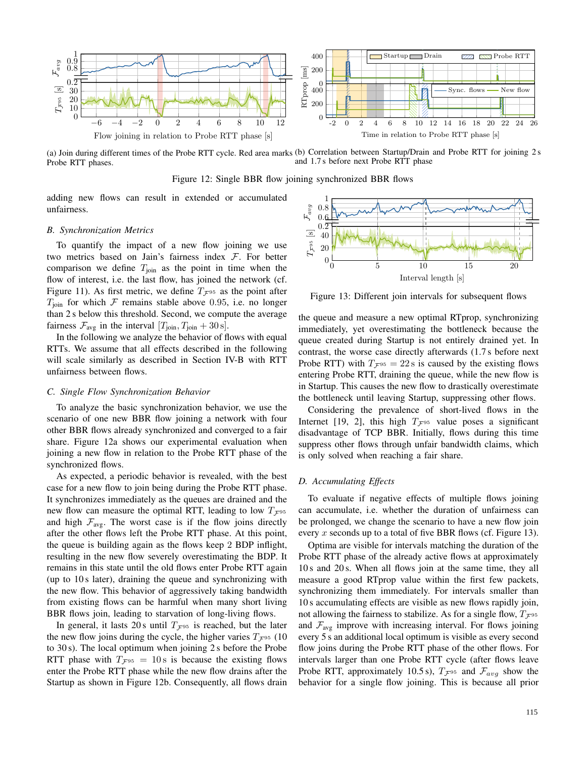

(a) Join during different times of the Probe RTT cycle. Red area marks (b) Correlation between Startup/Drain and Probe RTT for joining 2 s Probe RTT phases. and 1.7 s before next Probe RTT phase

Figure 12: Single BBR flow joining synchronized BBR flows

adding new flows can result in extended or accumulated unfairness.

# *B. Synchronization Metrics*

To quantify the impact of a new flow joining we use two metrics based on Jain's fairness index  $F$ . For better comparison we define  $T_{\text{join}}$  as the point in time when the flow of interest, i.e. the last flow, has joined the network (cf. Figure 11). As first metric, we define  $T_{\mathcal{F}^{95}}$  as the point after  $T_{\text{join}}$  for which  $\mathcal F$  remains stable above 0.95, i.e. no longer than 2 s below this threshold. Second, we compute the average fairness  $\mathcal{F}_{\text{avg}}$  in the interval  $[T_{\text{join}}, T_{\text{join}} + 30 \text{ s}].$ 

In the following we analyze the behavior of flows with equal RTTs. We assume that all effects described in the following will scale similarly as described in Section IV-B with RTT unfairness between flows.

# *C. Single Flow Synchronization Behavior*

To analyze the basic synchronization behavior, we use the scenario of one new BBR flow joining a network with four other BBR flows already synchronized and converged to a fair share. Figure 12a shows our experimental evaluation when joining a new flow in relation to the Probe RTT phase of the synchronized flows.

As expected, a periodic behavior is revealed, with the best case for a new flow to join being during the Probe RTT phase. It synchronizes immediately as the queues are drained and the new flow can measure the optimal RTT, leading to low  $T_{\mathcal{F}^{95}}$ and high  $\mathcal{F}_{\text{avg}}$ . The worst case is if the flow joins directly after the other flows left the Probe RTT phase. At this point, the queue is building again as the flows keep 2 BDP inflight, resulting in the new flow severely overestimating the BDP. It remains in this state until the old flows enter Probe RTT again (up to 10 s later), draining the queue and synchronizing with the new flow. This behavior of aggressively taking bandwidth from existing flows can be harmful when many short living BBR flows join, leading to starvation of long-living flows.

In general, it lasts 20 s until  $T_{\mathcal{F}^{95}}$  is reached, but the later the new flow joins during the cycle, the higher varies  $T_{\mathcal{F}^{95}}$  (10) to 30 s). The local optimum when joining 2 s before the Probe RTT phase with  $T_{\mathcal{F}^{95}} = 10 \text{ s}$  is because the existing flows enter the Probe RTT phase while the new flow drains after the Startup as shown in Figure 12b. Consequently, all flows drain



Figure 13: Different join intervals for subsequent flows

the queue and measure a new optimal RTprop, synchronizing immediately, yet overestimating the bottleneck because the queue created during Startup is not entirely drained yet. In contrast, the worse case directly afterwards (1.7 s before next Probe RTT) with  $T_{\mathcal{F}^{95}} = 22 \text{ s}$  is caused by the existing flows entering Probe RTT, draining the queue, while the new flow is in Startup. This causes the new flow to drastically overestimate the bottleneck until leaving Startup, suppressing other flows.

Considering the prevalence of short-lived flows in the Internet [19, 2], this high  $T_F$ <sup>95</sup> value poses a significant disadvantage of TCP BBR. Initially, flows during this time suppress other flows through unfair bandwidth claims, which is only solved when reaching a fair share.

# *D. Accumulating Effects*

To evaluate if negative effects of multiple flows joining can accumulate, i.e. whether the duration of unfairness can be prolonged, we change the scenario to have a new flow join every x seconds up to a total of five BBR flows (cf. Figure 13).

Optima are visible for intervals matching the duration of the Probe RTT phase of the already active flows at approximately 10 s and 20 s. When all flows join at the same time, they all measure a good RTprop value within the first few packets, synchronizing them immediately. For intervals smaller than 10 s accumulating effects are visible as new flows rapidly join, not allowing the fairness to stabilize. As for a single flow,  $T_{\mathcal{F}^{95}}$ and  $\mathcal{F}_{\text{avg}}$  improve with increasing interval. For flows joining every 5 s an additional local optimum is visible as every second flow joins during the Probe RTT phase of the other flows. For intervals larger than one Probe RTT cycle (after flows leave Probe RTT, approximately 10.5 s),  $T_{\mathcal{F}^{95}}$  and  $\mathcal{F}_{avg}$  show the behavior for a single flow joining. This is because all prior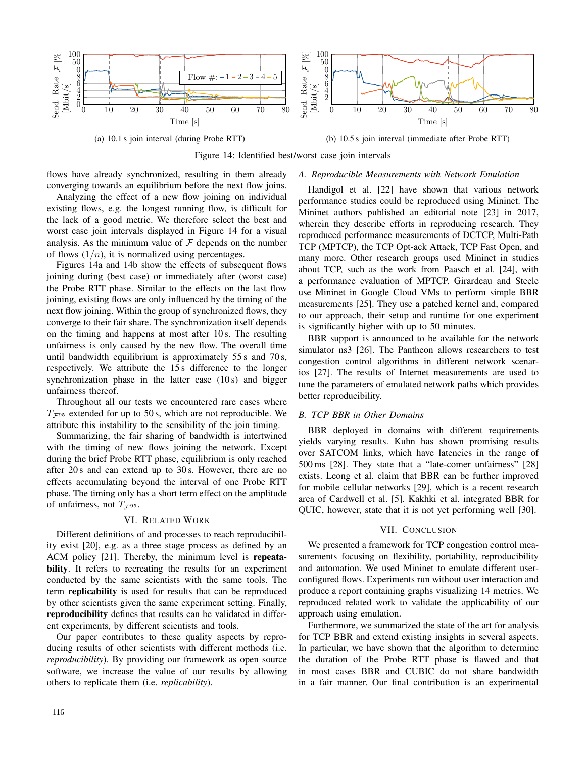

(a) 10.1 s join interval (during Probe RTT)

(b) 10.5 s join interval (immediate after Probe RTT)

Figure 14: Identified best/worst case join intervals

flows have already synchronized, resulting in them already converging towards an equilibrium before the next flow joins.

Analyzing the effect of a new flow joining on individual existing flows, e.g. the longest running flow, is difficult for the lack of a good metric. We therefore select the best and worst case join intervals displayed in Figure 14 for a visual analysis. As the minimum value of  $\mathcal F$  depends on the number of flows  $(1/n)$ , it is normalized using percentages.

Figures 14a and 14b show the effects of subsequent flows joining during (best case) or immediately after (worst case) the Probe RTT phase. Similar to the effects on the last flow joining, existing flows are only influenced by the timing of the next flow joining. Within the group of synchronized flows, they converge to their fair share. The synchronization itself depends on the timing and happens at most after 10 s. The resulting unfairness is only caused by the new flow. The overall time until bandwidth equilibrium is approximately  $55 s$  and  $70 s$ , respectively. We attribute the 15 s difference to the longer synchronization phase in the latter case (10 s) and bigger unfairness thereof.

Throughout all our tests we encountered rare cases where  $T_{\mathcal{F}^{95}}$  extended for up to 50 s, which are not reproducible. We attribute this instability to the sensibility of the join timing.

Summarizing, the fair sharing of bandwidth is intertwined with the timing of new flows joining the network. Except during the brief Probe RTT phase, equilibrium is only reached after 20 s and can extend up to 30 s. However, there are no effects accumulating beyond the interval of one Probe RTT phase. The timing only has a short term effect on the amplitude of unfairness, not  $T_{\mathcal{F}^{95}}$ .

# VI. RELATED WORK

Different definitions of and processes to reach reproducibility exist [20], e.g. as a three stage process as defined by an ACM policy [21]. Thereby, the minimum level is **repeata**bility. It refers to recreating the results for an experiment conducted by the same scientists with the same tools. The term replicability is used for results that can be reproduced by other scientists given the same experiment setting. Finally, reproducibility defines that results can be validated in different experiments, by different scientists and tools.

Our paper contributes to these quality aspects by reproducing results of other scientists with different methods (i.e. *reproducibility*). By providing our framework as open source software, we increase the value of our results by allowing others to replicate them (i.e. *replicability*).

# *A. Reproducible Measurements with Network Emulation*

Handigol et al. [22] have shown that various network performance studies could be reproduced using Mininet. The Mininet authors published an editorial note [23] in 2017, wherein they describe efforts in reproducing research. They reproduced performance measurements of DCTCP, Multi-Path TCP (MPTCP), the TCP Opt-ack Attack, TCP Fast Open, and many more. Other research groups used Mininet in studies about TCP, such as the work from Paasch et al. [24], with a performance evaluation of MPTCP. Girardeau and Steele use Mininet in Google Cloud VMs to perform simple BBR measurements [25]. They use a patched kernel and, compared to our approach, their setup and runtime for one experiment is significantly higher with up to 50 minutes.

BBR support is announced to be available for the network simulator ns3 [26]. The Pantheon allows researchers to test congestion control algorithms in different network scenarios [27]. The results of Internet measurements are used to tune the parameters of emulated network paths which provides better reproducibility.

# *B. TCP BBR in Other Domains*

BBR deployed in domains with different requirements yields varying results. Kuhn has shown promising results over SATCOM links, which have latencies in the range of 500 ms [28]. They state that a "late-comer unfairness" [28] exists. Leong et al. claim that BBR can be further improved for mobile cellular networks [29], which is a recent research area of Cardwell et al. [5]. Kakhki et al. integrated BBR for QUIC, however, state that it is not yet performing well [30].

#### VII. CONCLUSION

We presented a framework for TCP congestion control measurements focusing on flexibility, portability, reproducibility and automation. We used Mininet to emulate different userconfigured flows. Experiments run without user interaction and produce a report containing graphs visualizing 14 metrics. We reproduced related work to validate the applicability of our approach using emulation.

Furthermore, we summarized the state of the art for analysis for TCP BBR and extend existing insights in several aspects. In particular, we have shown that the algorithm to determine the duration of the Probe RTT phase is flawed and that in most cases BBR and CUBIC do not share bandwidth in a fair manner. Our final contribution is an experimental